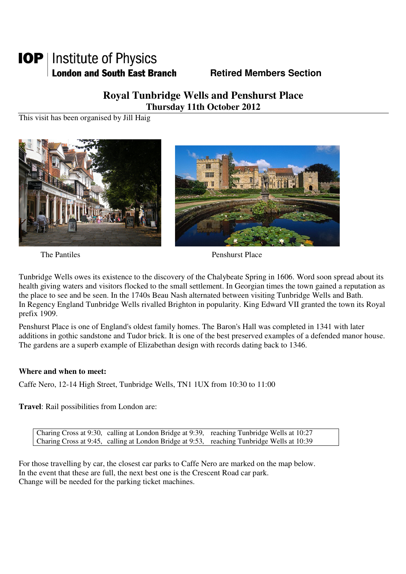## **IOP** | Institute of Physics **London and South East Branch Fig. 3. Retired Members Section**

### **Royal Tunbridge Wells and Penshurst Place Thursday 11th October 2012**

This visit has been organised by Jill Haig



**HIII** 

The Pantiles **Penshurst Place** Penshurst Place

Tunbridge Wells owes its existence to the discovery of the Chalybeate Spring in 1606. Word soon spread about its health giving waters and visitors flocked to the small settlement. In Georgian times the town gained a reputation as the place to see and be seen. In the 1740s Beau Nash alternated between visiting Tunbridge Wells and Bath. In Regency England Tunbridge Wells rivalled Brighton in popularity. King Edward VII granted the town its Royal prefix 1909.

Penshurst Place is one of England's oldest family homes. The Baron's Hall was completed in 1341 with later additions in gothic sandstone and Tudor brick. It is one of the best preserved examples of a defended manor house. The gardens are a superb example of Elizabethan design with records dating back to 1346.

#### **Where and when to meet:**

Caffe Nero, 12-14 High Street, Tunbridge Wells, TN1 1UX from 10:30 to 11:00

**Travel**: Rail possibilities from London are:

Charing Cross at 9:30, calling at London Bridge at 9:39, reaching Tunbridge Wells at 10:27 Charing Cross at 9:45, calling at London Bridge at 9:53, reaching Tunbridge Wells at 10:39

For those travelling by car, the closest car parks to Caffe Nero are marked on the map below. In the event that these are full, the next best one is the Crescent Road car park. Change will be needed for the parking ticket machines.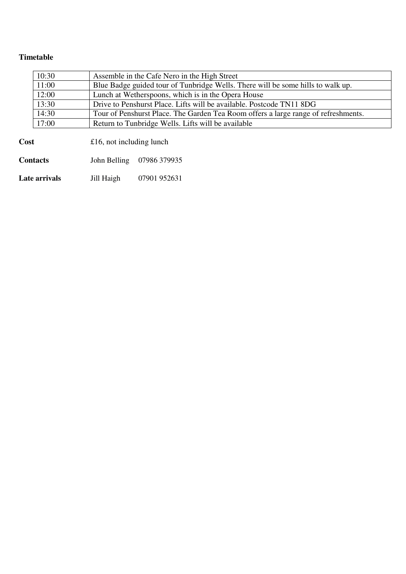#### **Timetable**

| 10:30 | Assemble in the Cafe Nero in the High Street                                       |
|-------|------------------------------------------------------------------------------------|
| 11:00 | Blue Badge guided tour of Tunbridge Wells. There will be some hills to walk up.    |
| 12:00 | Lunch at Wetherspoons, which is in the Opera House                                 |
| 13:30 | Drive to Penshurst Place. Lifts will be available. Postcode TN11 8DG               |
| 14:30 | Tour of Penshurst Place. The Garden Tea Room offers a large range of refreshments. |
| 17:00 | Return to Tunbridge Wells. Lifts will be available                                 |
|       |                                                                                    |

| Cost            | £16, not including lunch |                           |
|-----------------|--------------------------|---------------------------|
| <b>Contacts</b> |                          | John Belling 07986 379935 |
| Late arrivals   | Jill Haigh               | 07901 952631              |